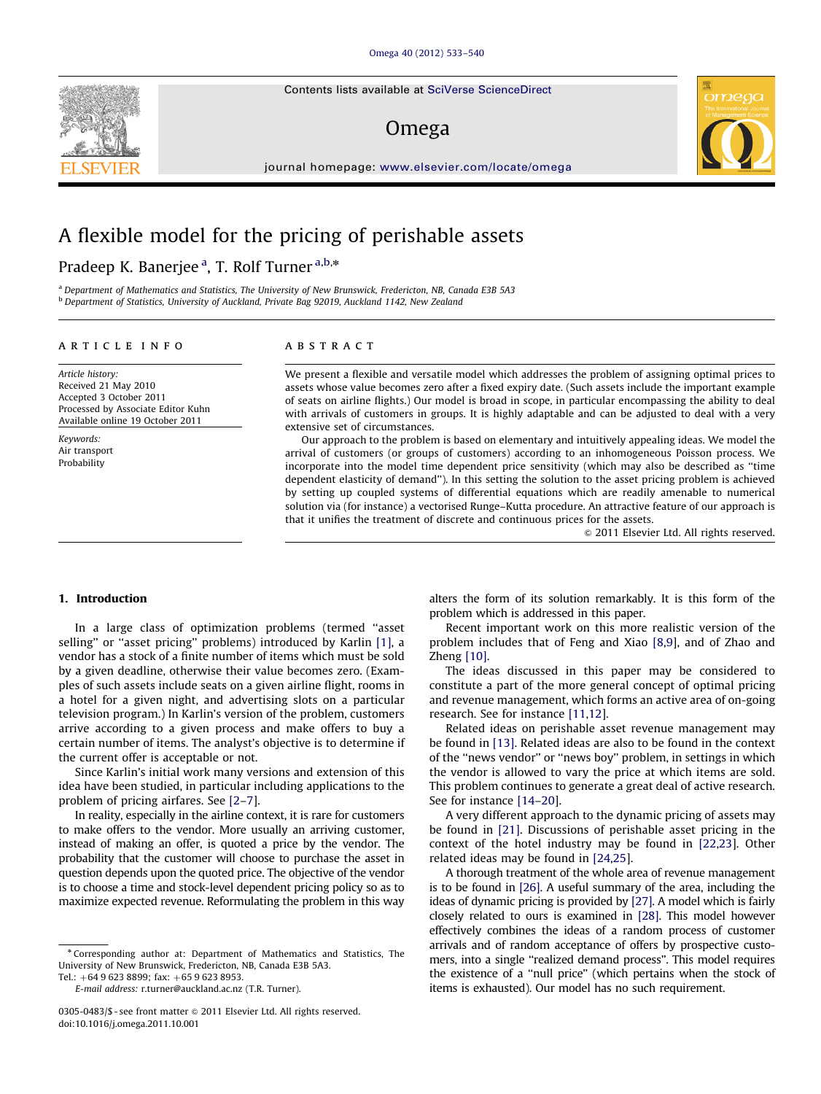Contents lists available at [SciVerse ScienceDirect](www.elsevier.com/locate/omega)

## Omega

journal homepage: <www.elsevier.com/locate/omega>



### Pradeep K. Banerjee <sup>a</sup>, T. Rolf Turner <sup>a,b,</sup>\*

<sup>a</sup> Department of Mathematics and Statistics, The University of New Brunswick, Fredericton, NB, Canada E3B 5A3 <sup>b</sup> Department of Statistics, University of Auckland, Private Bag 92019, Auckland 1142, New Zealand

#### article info

Article history: Received 21 May 2010 Accepted 3 October 2011 Processed by Associate Editor Kuhn Available online 19 October 2011

Keywords: Air transport Probability

#### ABSTRACT

We present a flexible and versatile model which addresses the problem of assigning optimal prices to assets whose value becomes zero after a fixed expiry date. (Such assets include the important example of seats on airline flights.) Our model is broad in scope, in particular encompassing the ability to deal with arrivals of customers in groups. It is highly adaptable and can be adjusted to deal with a very extensive set of circumstances.

Our approach to the problem is based on elementary and intuitively appealing ideas. We model the arrival of customers (or groups of customers) according to an inhomogeneous Poisson process. We incorporate into the model time dependent price sensitivity (which may also be described as ''time dependent elasticity of demand''). In this setting the solution to the asset pricing problem is achieved by setting up coupled systems of differential equations which are readily amenable to numerical solution via (for instance) a vectorised Runge–Kutta procedure. An attractive feature of our approach is that it unifies the treatment of discrete and continuous prices for the assets.

 $\odot$  2011 Elsevier Ltd. All rights reserved.

ornega

#### 1. Introduction

In a large class of optimization problems (termed ''asset selling'' or ''asset pricing'' problems) introduced by Karlin [\[1\],](#page--1-0) a vendor has a stock of a finite number of items which must be sold by a given deadline, otherwise their value becomes zero. (Examples of such assets include seats on a given airline flight, rooms in a hotel for a given night, and advertising slots on a particular television program.) In Karlin's version of the problem, customers arrive according to a given process and make offers to buy a certain number of items. The analyst's objective is to determine if the current offer is acceptable or not.

Since Karlin's initial work many versions and extension of this idea have been studied, in particular including applications to the problem of pricing airfares. See [\[2–7\]](#page--1-0).

In reality, especially in the airline context, it is rare for customers to make offers to the vendor. More usually an arriving customer, instead of making an offer, is quoted a price by the vendor. The probability that the customer will choose to purchase the asset in question depends upon the quoted price. The objective of the vendor is to choose a time and stock-level dependent pricing policy so as to maximize expected revenue. Reformulating the problem in this way

Tel.:  $+6496238899$ ; fax:  $+6596238953$ .

E-mail address: [r.turner@auckland.ac.nz \(T.R. Turner\).](mailto:r.turner@auckland.ac.nz)

alters the form of its solution remarkably. It is this form of the problem which is addressed in this paper.

Recent important work on this more realistic version of the problem includes that of Feng and Xiao [\[8,9](#page--1-0)], and of Zhao and Zheng [\[10\]](#page--1-0).

The ideas discussed in this paper may be considered to constitute a part of the more general concept of optimal pricing and revenue management, which forms an active area of on-going research. See for instance [\[11,12\]](#page--1-0).

Related ideas on perishable asset revenue management may be found in [\[13\]](#page--1-0). Related ideas are also to be found in the context of the ''news vendor'' or ''news boy'' problem, in settings in which the vendor is allowed to vary the price at which items are sold. This problem continues to generate a great deal of active research. See for instance [\[14–20\]](#page--1-0).

A very different approach to the dynamic pricing of assets may be found in [\[21\]](#page--1-0). Discussions of perishable asset pricing in the context of the hotel industry may be found in [\[22,23](#page--1-0)]. Other related ideas may be found in [\[24,25\]](#page--1-0).

A thorough treatment of the whole area of revenue management is to be found in [\[26\].](#page--1-0) A useful summary of the area, including the ideas of dynamic pricing is provided by [\[27\]](#page--1-0). A model which is fairly closely related to ours is examined in [\[28\]](#page--1-0). This model however effectively combines the ideas of a random process of customer arrivals and of random acceptance of offers by prospective customers, into a single ''realized demand process''. This model requires the existence of a ''null price'' (which pertains when the stock of items is exhausted). Our model has no such requirement.



<sup>n</sup> Corresponding author at: Department of Mathematics and Statistics, The University of New Brunswick, Fredericton, NB, Canada E3B 5A3.

<sup>0305-0483/\$ -</sup> see front matter  $\odot$  2011 Elsevier Ltd. All rights reserved. doi:[10.1016/j.omega.2011.10.001](dx.doi.org/10.1016/j.omega.2011.10.001)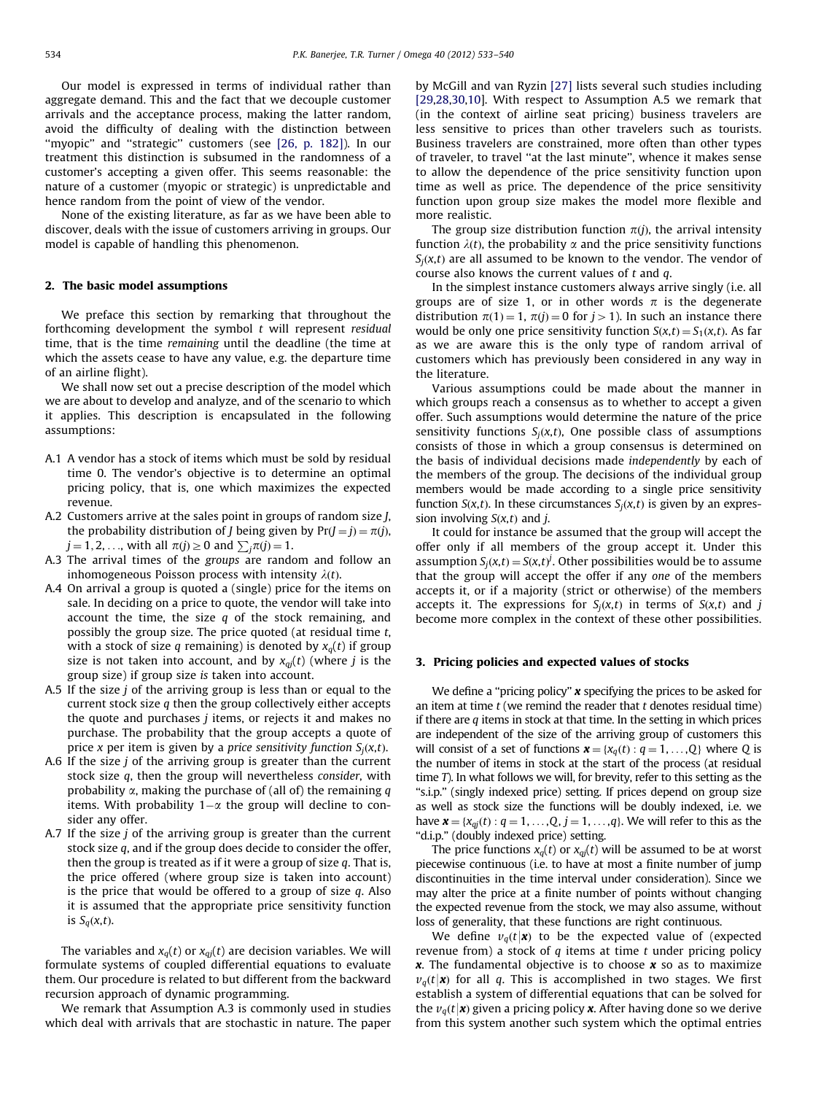Our model is expressed in terms of individual rather than aggregate demand. This and the fact that we decouple customer arrivals and the acceptance process, making the latter random, avoid the difficulty of dealing with the distinction between "myopic" and "strategic" customers (see [\[26, p. 182\]](#page--1-0)). In our treatment this distinction is subsumed in the randomness of a customer's accepting a given offer. This seems reasonable: the nature of a customer (myopic or strategic) is unpredictable and hence random from the point of view of the vendor.

None of the existing literature, as far as we have been able to discover, deals with the issue of customers arriving in groups. Our model is capable of handling this phenomenon.

#### 2. The basic model assumptions

We preface this section by remarking that throughout the forthcoming development the symbol  $t$  will represent residual time, that is the time remaining until the deadline (the time at which the assets cease to have any value, e.g. the departure time of an airline flight).

We shall now set out a precise description of the model which we are about to develop and analyze, and of the scenario to which it applies. This description is encapsulated in the following assumptions:

- A.1 A vendor has a stock of items which must be sold by residual time 0. The vendor's objective is to determine an optimal pricing policy, that is, one which maximizes the expected revenue.
- A.2 Customers arrive at the sales point in groups of random size J, the probability distribution of *J* being given by  $Pr(J = j) = \pi(j)$ ,  $j = 1, 2, ...$ , with all  $\pi(j) \ge 0$  and  $\sum_j \pi(j) = 1$ .
- A.3 The arrival times of the groups are random and follow an inhomogeneous Poisson process with intensity  $\lambda(t)$ .
- A.4 On arrival a group is quoted a (single) price for the items on sale. In deciding on a price to quote, the vendor will take into account the time, the size  $q$  of the stock remaining, and possibly the group size. The price quoted (at residual time t, with a stock of size q remaining) is denoted by  $x_q(t)$  if group size is not taken into account, and by  $x_{qi}(t)$  (where j is the group size) if group size is taken into account.
- A.5 If the size  $j$  of the arriving group is less than or equal to the current stock size q then the group collectively either accepts the quote and purchases  $j$  items, or rejects it and makes no purchase. The probability that the group accepts a quote of price x per item is given by a price sensitivity function  $S_i(x,t)$ .
- A.6 If the size j of the arriving group is greater than the current stock size q, then the group will nevertheless consider, with probability  $\alpha$ , making the purchase of (all of) the remaining  $q$ items. With probability  $1-\alpha$  the group will decline to consider any offer.
- A.7 If the size  $j$  of the arriving group is greater than the current stock size q, and if the group does decide to consider the offer, then the group is treated as if it were a group of size  $q$ . That is, the price offered (where group size is taken into account) is the price that would be offered to a group of size  $q$ . Also it is assumed that the appropriate price sensitivity function is  $S_q(x,t)$ .

The variables and  $x_q(t)$  or  $x_{q}(t)$  are decision variables. We will formulate systems of coupled differential equations to evaluate them. Our procedure is related to but different from the backward recursion approach of dynamic programming.

We remark that Assumption A.3 is commonly used in studies which deal with arrivals that are stochastic in nature. The paper by McGill and van Ryzin [\[27\]](#page--1-0) lists several such studies including [\[29,28,30,10\]](#page--1-0). With respect to Assumption A.5 we remark that (in the context of airline seat pricing) business travelers are less sensitive to prices than other travelers such as tourists. Business travelers are constrained, more often than other types of traveler, to travel ''at the last minute'', whence it makes sense to allow the dependence of the price sensitivity function upon time as well as price. The dependence of the price sensitivity function upon group size makes the model more flexible and more realistic.

The group size distribution function  $\pi(i)$ , the arrival intensity function  $\lambda(t)$ , the probability  $\alpha$  and the price sensitivity functions  $S_i(x,t)$  are all assumed to be known to the vendor. The vendor of course also knows the current values of t and q.

In the simplest instance customers always arrive singly (i.e. all groups are of size 1, or in other words  $\pi$  is the degenerate distribution  $\pi(1) = 1$ ,  $\pi(j) = 0$  for  $j > 1$ ). In such an instance there would be only one price sensitivity function  $S(x,t) = S_1(x,t)$ . As far as we are aware this is the only type of random arrival of customers which has previously been considered in any way in the literature.

Various assumptions could be made about the manner in which groups reach a consensus as to whether to accept a given offer. Such assumptions would determine the nature of the price sensitivity functions  $S_i(x,t)$ , One possible class of assumptions consists of those in which a group consensus is determined on the basis of individual decisions made independently by each of the members of the group. The decisions of the individual group members would be made according to a single price sensitivity function  $S(x,t)$ . In these circumstances  $S_i(x,t)$  is given by an expression involving  $S(x,t)$  and *j*.

It could for instance be assumed that the group will accept the offer only if all members of the group accept it. Under this assumption  $S_j(x,t) = S(x,t)^j$ . Other possibilities would be to assume that the group will accept the offer if any one of the members accepts it, or if a majority (strict or otherwise) of the members accepts it. The expressions for  $S_i(x,t)$  in terms of  $S(x,t)$  and j become more complex in the context of these other possibilities.

#### 3. Pricing policies and expected values of stocks

We define a "pricing policy"  $x$  specifying the prices to be asked for an item at time  $t$  (we remind the reader that  $t$  denotes residual time) if there are  $q$  items in stock at that time. In the setting in which prices are independent of the size of the arriving group of customers this will consist of a set of functions  $\mathbf{x} = \{x_q(t): q = 1, \ldots, Q\}$  where Q is the number of items in stock at the start of the process (at residual time T). In what follows we will, for brevity, refer to this setting as the "s.i.p." (singly indexed price) setting. If prices depend on group size as well as stock size the functions will be doubly indexed, i.e. we have  $\mathbf{x} = \{x_{qj}(t) : q = 1, ..., Q, j = 1, ..., q\}$ . We will refer to this as the "d.i.p." (doubly indexed price) setting.

The price functions  $x_q(t)$  or  $x_{qj}(t)$  will be assumed to be at worst piecewise continuous (i.e. to have at most a finite number of jump discontinuities in the time interval under consideration). Since we may alter the price at a finite number of points without changing the expected revenue from the stock, we may also assume, without loss of generality, that these functions are right continuous.

We define  $v_q(t|\mathbf{x})$  to be the expected value of (expected revenue from) a stock of  $q$  items at time  $t$  under pricing policy  $x$ . The fundamental objective is to choose  $x$  so as to maximize  $v_a(t|\mathbf{x})$  for all q. This is accomplished in two stages. We first establish a system of differential equations that can be solved for the  $v_q(t|\mathbf{x})$  given a pricing policy x. After having done so we derive from this system another such system which the optimal entries